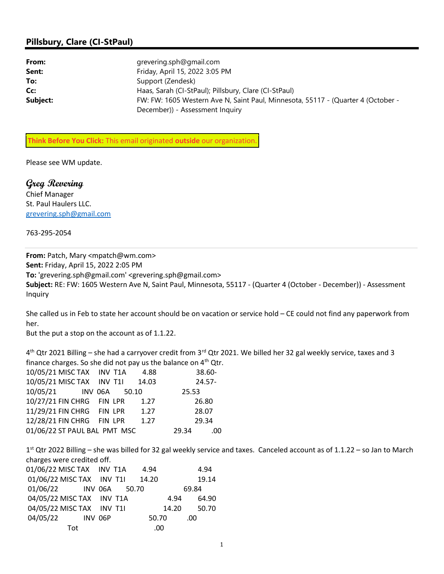## Pillsbury, Clare (CI-StPaul)

| From:    | grevering.sph@gmail.com                                                          |
|----------|----------------------------------------------------------------------------------|
| Sent:    | Friday, April 15, 2022 3:05 PM                                                   |
| To:      | Support (Zendesk)                                                                |
| Cc:      | Haas, Sarah (CI-StPaul); Pillsbury, Clare (CI-StPaul)                            |
| Subject: | FW: FW: 1605 Western Ave N, Saint Paul, Minnesota, 55117 - (Quarter 4 (October - |
|          | December)) - Assessment Inquiry                                                  |

Think Before You Click: This email originated outside our organization

Please see WM update.

Greg Revering Chief Manager St. Paul Haulers LLC. grevering.sph@gmail.com

763-295-2054

From: Patch, Mary <mpatch@wm.com> Sent: Friday, April 15, 2022 2:05 PM To: 'grevering.sph@gmail.com' <grevering.sph@gmail.com> Subject: RE: FW: 1605 Western Ave N, Saint Paul, Minnesota, 55117 - (Quarter 4 (October - December)) - Assessment Inquiry

She called us in Feb to state her account should be on vacation or service hold – CE could not find any paperwork from her.

But the put a stop on the account as of 1.1.22.

4<sup>th</sup> Qtr 2021 Billing – she had a carryover credit from 3<sup>rd</sup> Qtr 2021. We billed her 32 gal weekly service, taxes and 3 finance charges. So she did not pay us the balance on  $4<sup>th</sup>$  Qtr.

|                              | 10/05/21 MISC TAX INV T1A |  |  | -4.88 |       | 38.60-    |
|------------------------------|---------------------------|--|--|-------|-------|-----------|
|                              | 10/05/21 MISC TAX INV T1I |  |  | 14.03 |       | $24.57 -$ |
|                              | 10/05/21 INV 06A 50.10    |  |  |       | 25.53 |           |
|                              | 10/27/21 FIN CHRG FIN LPR |  |  | 1.27  |       | 26.80     |
|                              | 11/29/21 FIN CHRG FIN LPR |  |  | 1.27  |       | 28.07     |
|                              | 12/28/21 FIN CHRG FIN LPR |  |  | 1.27  |       | 29.34     |
| 01/06/22 ST PAUL BAL PMT MSC |                           |  |  |       | 29.34 | .00       |

1<sup>st</sup> Qtr 2022 Billing – she was billed for 32 gal weekly service and taxes. Canceled account as of 1.1.22 – so Jan to March charges were credited off.

|     | 01/06/22 MISC TAX INV T1A |  | 4.94  |       |       |       | 4.94  |
|-----|---------------------------|--|-------|-------|-------|-------|-------|
|     | 01/06/22 MISC TAX INV T1I |  | 14.20 |       |       |       | 19.14 |
|     | 01/06/22 INV 06A 50.70    |  |       |       |       | 69.84 |       |
|     | 04/05/22 MISC TAX INV T1A |  |       |       | 4.94  |       | 64.90 |
|     | 04/05/22 MISC TAX INV T1I |  |       |       | 14.20 |       | 50.70 |
|     | 04/05/22 INV 06P          |  |       | 50.70 |       | .00   |       |
| Tot |                           |  |       | .00   |       |       |       |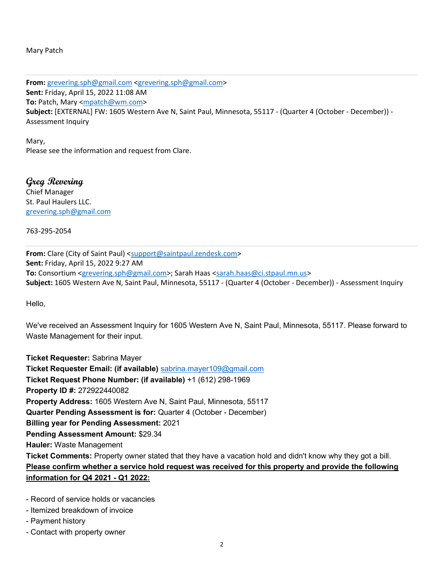Mary Patch

From: grevering.sph@gmail.com <grevering.sph@gmail.com> Sent: Friday, April 15, 2022 11:08 AM To: Patch, Mary <mpatch@wm.com> Subject: [EXTERNAL] FW: 1605 Western Ave N, Saint Paul, Minnesota, 55117 - (Quarter 4 (October - December)) - Assessment Inquiry

Mary, Please see the information and request from Clare.

Greg Revering Chief Manager St. Paul Haulers LLC. grevering.sph@gmail.com

763-295-2054

From: Clare (City of Saint Paul) <support@saintpaul.zendesk.com> Sent: Friday, April 15, 2022 9:27 AM To: Consortium <grevering.sph@gmail.com>; Sarah Haas <sarah.haas@ci.stpaul.mn.us> Subject: 1605 Western Ave N, Saint Paul, Minnesota, 55117 - (Quarter 4 (October - December)) - Assessment Inquiry

Hello,

We've received an Assessment Inquiry for 1605 Western Ave N, Saint Paul, Minnesota, 55117. Please forward to Waste Management for their input.

Ticket Requester: Sabrina Mayer Ticket Requester Email: (if available) sabrina.mayer109@gmail.com Ticket Request Phone Number: (if available) +1 (612) 298-1969 Property ID #: 272922440082 Property Address: 1605 Western Ave N, Saint Paul, Minnesota, 55117 Quarter Pending Assessment is for: Quarter 4 (October - December) Billing year for Pending Assessment: 2021 Pending Assessment Amount: \$29.34 Hauler: Waste Management Ticket Comments: Property owner stated that they have a vacation hold and didn't know why they got a bill. Please confirm whether a service hold request was received for this property and provide the following information for Q4 2021 - Q1 2022:

- Record of service holds or vacancies

- Itemized breakdown of invoice
- Payment history
- Contact with property owner